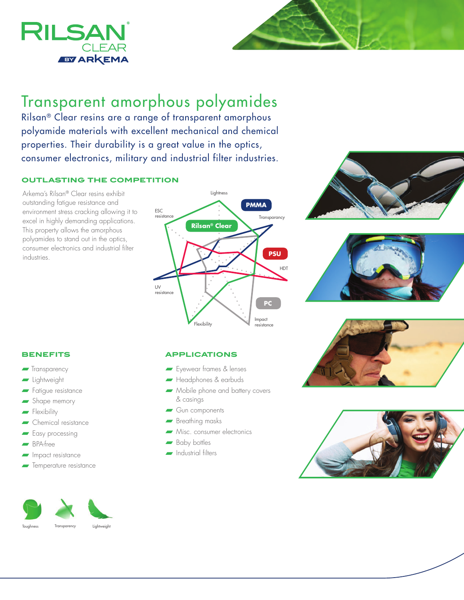

# Transparent amorphous polyamides

Rilsan® Clear resins are a range of transparent amorphous polyamide materials with excellent mechanical and chemical properties. Their durability is a great value in the optics, consumer electronics, military and industrial filter industries.

## **outlasting the competition**

Arkema's Rilsan® Clear resins exhibit outstanding fatigue resistance and environment stress cracking allowing it to excel in highly demanding applications. This property allows the amorphous polyamides to stand out in the optics, consumer electronics and industrial filter industries.











#### **benefits**

- **Transparency**
- **n** Lightweight
- **Fatigue resistance**
- $\blacktriangleright$  Shape memory
- $\blacksquare$  Flexibility
- $\blacksquare$  Chemical resistance
- **Fasy processing**
- <sup>n</sup> BPA-free
- Impact resistance
- Temperature resistance



## **applications**

- **Fyewear frames & lenses**
- Headphones & earbuds
- $\longrightarrow$  Mobile phone and battery covers & casings
- $\blacksquare$  Gun components
- **R** Breathing masks
- $\blacksquare$  Misc. consumer electronics
- Baby bottles
- **ndustrial filters**